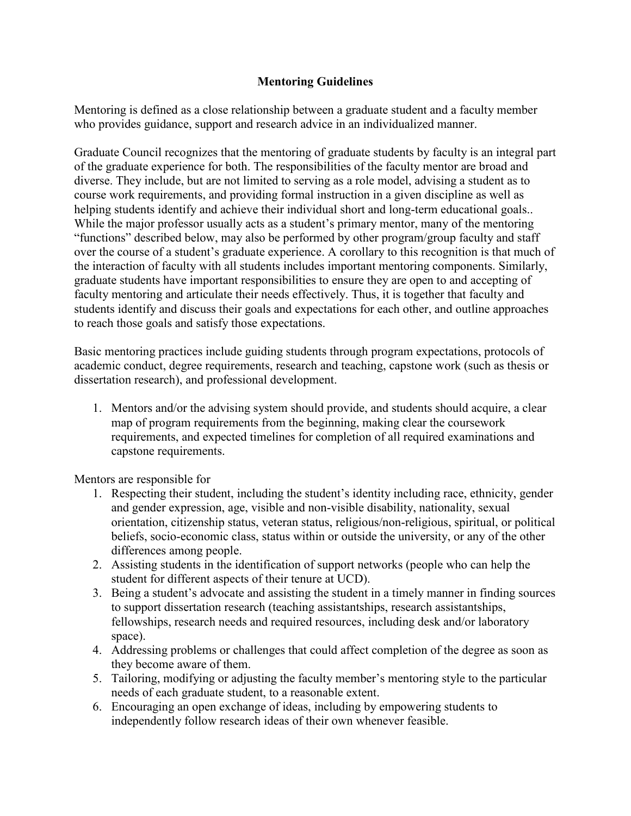## **Mentoring Guidelines**

Mentoring is defined as a close relationship between a graduate student and a faculty member who provides guidance, support and research advice in an individualized manner.

Graduate Council recognizes that the mentoring of graduate students by faculty is an integral part of the graduate experience for both. The responsibilities of the faculty mentor are broad and diverse. They include, but are not limited to serving as a role model, advising a student as to course work requirements, and providing formal instruction in a given discipline as well as helping students identify and achieve their individual short and long-term educational goals.. While the major professor usually acts as a student's primary mentor, many of the mentoring "functions" described below, may also be performed by other program/group faculty and staff over the course of a student's graduate experience. A corollary to this recognition is that much of the interaction of faculty with all students includes important mentoring components. Similarly, graduate students have important responsibilities to ensure they are open to and accepting of faculty mentoring and articulate their needs effectively. Thus, it is together that faculty and students identify and discuss their goals and expectations for each other, and outline approaches to reach those goals and satisfy those expectations.

Basic mentoring practices include guiding students through program expectations, protocols of academic conduct, degree requirements, research and teaching, capstone work (such as thesis or dissertation research), and professional development.

1. Mentors and/or the advising system should provide, and students should acquire, a clear map of program requirements from the beginning, making clear the coursework requirements, and expected timelines for completion of all required examinations and capstone requirements.

Mentors are responsible for

- 1. Respecting their student, including the student's identity including race, ethnicity, gender and gender expression, age, visible and non-visible disability, nationality, sexual orientation, citizenship status, veteran status, religious/non-religious, spiritual, or political beliefs, socio-economic class, status within or outside the university, or any of the other differences among people.
- 2. Assisting students in the identification of support networks (people who can help the student for different aspects of their tenure at UCD).
- 3. Being a student's advocate and assisting the student in a timely manner in finding sources to support dissertation research (teaching assistantships, research assistantships, fellowships, research needs and required resources, including desk and/or laboratory space).
- 4. Addressing problems or challenges that could affect completion of the degree as soon as they become aware of them.
- 5. Tailoring, modifying or adjusting the faculty member's mentoring style to the particular needs of each graduate student, to a reasonable extent.
- 6. Encouraging an open exchange of ideas, including by empowering students to independently follow research ideas of their own whenever feasible.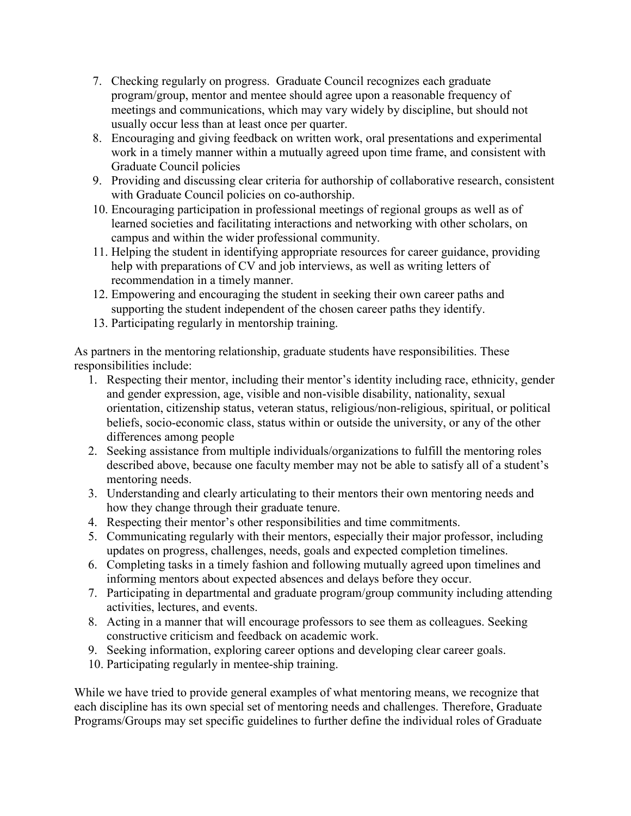- 7. Checking regularly on progress. Graduate Council recognizes each graduate program/group, mentor and mentee should agree upon a reasonable frequency of meetings and communications, which may vary widely by discipline, but should not usually occur less than at least once per quarter.
- 8. Encouraging and giving feedback on written work, oral presentations and experimental work in a timely manner within a mutually agreed upon time frame, and consistent with Graduate Council policies
- 9. Providing and discussing clear criteria for authorship of collaborative research, consistent with Graduate Council policies on co-authorship.
- 10. Encouraging participation in professional meetings of regional groups as well as of learned societies and facilitating interactions and networking with other scholars, on campus and within the wider professional community.
- 11. Helping the student in identifying appropriate resources for career guidance, providing help with preparations of CV and job interviews, as well as writing letters of recommendation in a timely manner.
- 12. Empowering and encouraging the student in seeking their own career paths and supporting the student independent of the chosen career paths they identify.
- 13. Participating regularly in mentorship training.

As partners in the mentoring relationship, graduate students have responsibilities. These responsibilities include:

- 1. Respecting their mentor, including their mentor's identity including race, ethnicity, gender and gender expression, age, visible and non-visible disability, nationality, sexual orientation, citizenship status, veteran status, religious/non-religious, spiritual, or political beliefs, socio-economic class, status within or outside the university, or any of the other differences among people
- 2. Seeking assistance from multiple individuals/organizations to fulfill the mentoring roles described above, because one faculty member may not be able to satisfy all of a student's mentoring needs.
- 3. Understanding and clearly articulating to their mentors their own mentoring needs and how they change through their graduate tenure.
- 4. Respecting their mentor's other responsibilities and time commitments.
- 5. Communicating regularly with their mentors, especially their major professor, including updates on progress, challenges, needs, goals and expected completion timelines.
- 6. Completing tasks in a timely fashion and following mutually agreed upon timelines and informing mentors about expected absences and delays before they occur.
- 7. Participating in departmental and graduate program/group community including attending activities, lectures, and events.
- 8. Acting in a manner that will encourage professors to see them as colleagues. Seeking constructive criticism and feedback on academic work.
- 9. Seeking information, exploring career options and developing clear career goals.
- 10. Participating regularly in mentee-ship training.

While we have tried to provide general examples of what mentoring means, we recognize that each discipline has its own special set of mentoring needs and challenges. Therefore, Graduate Programs/Groups may set specific guidelines to further define the individual roles of Graduate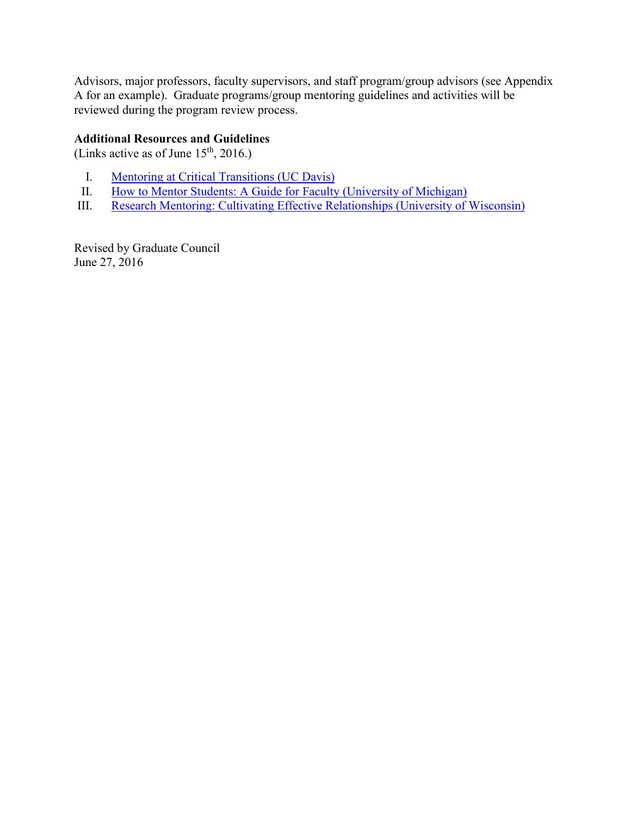Advisors, major professors, faculty supervisors, and staff program/group advisors (see Appendix A for an example). Graduate programs/group mentoring guidelines and activities will be reviewed during the program review process.

## **Additional Resources and Guidelines**

(Links active as of June  $15<sup>th</sup>$ , 2016.)

- I. [Mentoring at Critical Transitions \(UC Davis\)](https://gradstudies.ucdavis.edu/faculty-staff/mentoring-critical-transitions)
- II. [How to Mentor Students: A Guide for Faculty \(University of Michigan\)](http://www.rackham.umich.edu/downloads/publications/Fmentoring.pdf)
- III. [Research Mentoring: Cultivating Effective Relationships \(University of Wisconsin\)](https://mentoringresources.ictr.wisc.edu/MentoringResources)

Revised by Graduate Council June 27, 2016